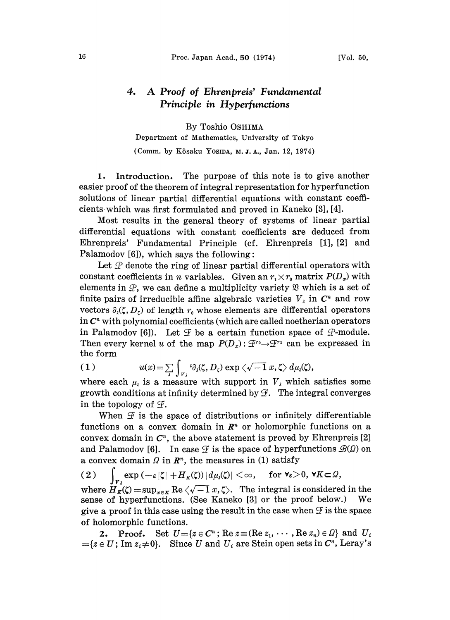## 4. A Proof of Ehrenpreis' Fundamental Principle in Hyperfunctions

By Toshio OSHIMA

Department of Mathematics, University of Tokyo (Comm. by Kôsaku YosiDA, M. J. A., Jan. 12, 1974)

1. Introduction. The purpose of this note is to give another easier proof of the theorem of integral representation for hyperiunction solutions of linear partial differential equations with constant coefficients which was first formulated and proved in Kaneko [3], [4].

Most results in the general theory of systems of linear partial differential equations with constant coefficients are deduced from Ehrenpreis' Fundamental Principle (cf. Ehrenpreis [1], [2] and Palamodov  $[6]$ ), which says the following:

Let  $\mathcal P$  denote the ring of linear partial differential operators with constant coefficients in *n* variables. Given an  $r_1 \times r_0$  matrix  $P(D_x)$  with elements in  $\mathcal{P}$ , we can define a multiplicity variety  $\mathcal{B}$  which is a set of finite pairs of irreducible affine algebraic varieties  $V_{\lambda}$  in  $C^{n}$  and row vectors  $\partial_{\lambda}(\zeta, D_{\zeta})$  of length  $r_0$  whose elements are differential operators in  $C<sup>n</sup>$  with polynomial coefficients (which are called noetherian operators in Palamodov [6]). Let  $\mathcal F$  be a certain function space of  $\mathcal P$ -module. Then every kernel u of the map  $P(D_x): \mathcal{F}^{r_0} \to \mathcal{F}^{r_1}$  can be expressed in the form

(1) 
$$
u(x) = \sum_{\lambda} \int_{V_{\lambda}}^{\infty} i \partial_{\lambda} \langle \zeta, D_{\zeta} \rangle \exp \langle \sqrt{-1} x, \zeta \rangle d\mu_{\lambda} \langle \zeta \rangle,
$$
  
where each  $\mu_{\lambda}$  is a measure with support in  $V_{\lambda}$  which satisfies some

growth conditions at infinity determined by  $\mathcal{F}$ . The integral converges in the topology of  $\mathcal{F}$ .

When  $\mathcal F$  is the space of distributions or infinitely differentiable functions on a convex domain in  $\mathbb{R}^n$  or holomorphic functions on a convex domain in  $C<sup>n</sup>$ , the above statement is proved by Ehrenpreis [2] and Palamodov [6]. In case  $\mathcal F$  is the space of hyperfunctions  $\mathcal B(\Omega)$  on a convex domain  $\Omega$  in  $\mathbb{R}^n$ , the measures in (1) satisfy

(2)  $\int_{\mathcal{F}_\lambda} \exp(-\varepsilon |\zeta| + H_K(\zeta)) |d\mu(\zeta)| < \infty$ , for  $\forall \varepsilon > 0$ ,  $\forall K \subset \Omega$ ,<br>where  $H_K(\zeta) = \sup_{x \in K} \text{Re}(\sqrt{-1}x, \zeta)$ . The integral is considered in the sense of hyperfunctions. (See Kaneko [3] or the proof below.) We give a proof in this case using the result in the case when  $\mathcal F$  is the space of holomorphic functions.

**2.** Proof. Set  $U = \{z \in \mathbb{C}^n : \text{Re } z \equiv (\text{Re } z_1, \dots, \text{Re } z_n) \in \Omega\}$  and  $U_i$  $=\{z\in U\text{; Im }z_i\neq 0\}.$  Since U and  $U_i$  are Stein open sets in  $C^n$ , Leray's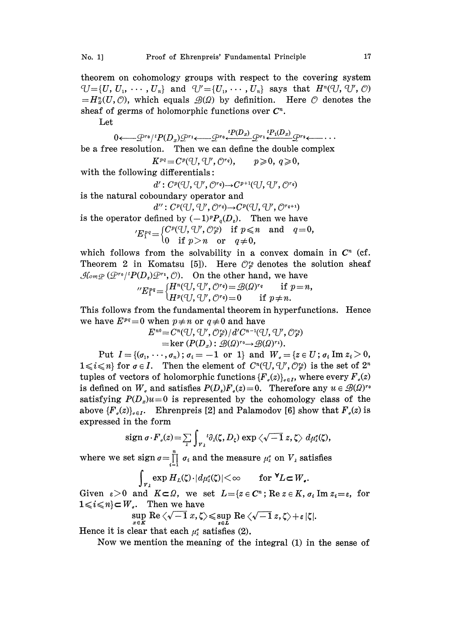theorem on cohomology groups with respect to the covering system  $U=[U, U_1, \cdots, U_n]$  and  $U'=[U_1, \cdots, U_n]$  says that  $H^n(U, U', \mathcal{O})$  $=H_{\alpha}^n(U, \mathcal{O})$ , which equals  $\mathcal{B}(\Omega)$  by definition. Here  $\mathcal O$  denotes the sheaf of germs of holomorphic functions over  $C<sup>n</sup>$ .

Let

 $0 \longleftarrow \mathcal{Q}^{r_0} / {}^t P(D_x) \mathcal{Q}^{r_1} \longleftarrow \mathcal{Q}^{r_0} \stackrel{{}^t P(D_x)}{\longleftarrow} \mathcal{Q}^{r_1} \stackrel{{}^t P_1(D_x)}{\longleftarrow} \mathcal{Q}^{r_2} \longleftarrow \cdots$ be a free resolution. Then we can define the double complex

$$
K^{pq} = C^p(\mathbb{U}, \mathbb{U}', \mathbb{O}^{r_q}), \qquad p \geqslant 0, q \geqslant 0,
$$

with the following differentials:

 $d': C^p(\mathbb{U}, \mathbb{U}', \mathbb{O}^{r_q}) \rightarrow C^{p+1}(\mathbb{U}, \mathbb{U}', \mathbb{O}^{r_q})$ 

is the natural coboundary operator and

 $d''$ :  $C^p(\mathbb{U}, \mathbb{U}', \mathbb{O}^{r_q}) \rightarrow C^p(\mathbb{U}, \mathbb{U}', \mathbb{O}^{r_{q+1}})$ 

is the operator defined by  $(-1)^p P_q(D_i)$ . Then we have

 ${}^{\prime}E_{1}^{pq} = \left\{\begin{matrix} C^{p}(U,\,U^{\prime},\,{\cal O}_{P}^{r_{0}}) & \text{if} \,\;p \leqslant n \ 0 & \text{if} \,\;p \!> \!n \quad \text{or} \quad q \!\neq\! 0, \end{matrix}\right. \nonumber \$ 

which follows from the solvability in a convex domain in  $C<sup>n</sup>$  (cf. Theorem 2 in Komatsu [5]). Here  $\mathcal{O}_P^{\tau_0}$  denotes the solution sheaf  $\mathcal{H}_{\text{om},\mathcal{P}}(\mathcal{Q}^{r_0}/^tP(D_z)\mathcal{Q}^{r_1}, \mathcal{O})$ . On the other hand, we have

$$
{}^{\prime\prime}E_1^{pq} = \begin{cases} H^n(\bigcup, \bigcup', \bigcirc^{r_q}\big) = \mathcal{B}(\Omega)^{r_q} & \text{if } p = n, \\ H^p(\bigcup, \bigcirc^{r_q}\big) = 0 & \text{if } p \neq n. \end{cases}
$$

This follows from the fundamental theorem in hyperfunctions. Hence we have  $E^{pq}=0$  when  $p \neq n$  or  $q \neq 0$  and have

$$
E^{n0} = C^n(\bigcup, \bigcup', \bigcirc^n_{F'}\big)/d'C^{n-1}(\bigcup, \bigcup', \bigcirc^n_{F'}\big) \\
= \ker(P(D_x): \mathcal{B}(\Omega)^{r_0} \rightarrow \mathcal{B}(\Omega)^{r_1}).
$$

Put  $I=\{(\sigma_1,\ldots,\sigma_n)\,;\,\sigma_i=-1\text{ or }1\}$  and  $W_i=\{z\in U\,;\,\sigma_i\text{ Im }z_i\geq 0,\,$  $1 \leq i \leq n$  for  $\sigma \in I$ . Then the element of  $C^{n}(\mathcal{U}, \mathcal{U}', \mathcal{O}_{\mathcal{P}}^{n})$  is the set of  $2^{n}$ tuples of vectors of holomorphic functions  ${F_{\alpha}(z)}_{\alpha\in I}$ , where every  ${F_{\gamma}(z)}$ is defined on  $W_{\sigma}$  and satisfies  $P(D_{\rho})F_{\sigma}(z)=0$ . Therefore any  $u \in \mathcal{B}(\Omega)^{r_{\sigma}}$ satisfying  $P(D_x)u=0$  is represented by the cohomology class of the above  ${F_{\rho}(z)}_{\rho \in I}$ . Ehrenpreis [2] and Palamodov [6] show that  $F_{\rho}(z)$  is expressed in the form

$$
\operatorname{sign} \sigma \cdot F_{\sigma}(z) = \sum_{\lambda} \int_{\gamma_{\lambda}} {}^{t} \partial_{\lambda}(\zeta, D_{\zeta}) \exp \left\langle \sqrt{-1} \right. z, \zeta \right\rangle d\mu_{\lambda}^{\sigma}(\zeta),
$$

where we set sign  $\sigma = \prod_{i=1}^n \sigma_i$  and the measure  $\mu_i^{\sigma}$  on  $V_{\lambda}$  satisfies

$$
\int_{V_{\lambda}} \exp H_{L}(\zeta) \cdot |d\mu_{\lambda}(\zeta)| < \infty \quad \text{for } \mathbb{V}L \subset W_{\bullet}.
$$

Given  $\varepsilon > 0$  and  $K \subset \Omega$ , we set  $L = \{z \in C^n : \text{Re } z \in K, \sigma_i \text{ Im } z_i = \varepsilon, \text{ for } i \in \mathbb{N} \}$  $1 \leq i \leq n$   $\subset W<sub>s</sub>$ . Then we have

$$
\sup_{x \in K} \text{Re}\left\langle \sqrt{-1} \, x, \zeta \right\rangle \leqslant \sup_{z \in L} \text{Re}\left\langle \sqrt{-1} \, z, \zeta \right\rangle + \varepsilon |\zeta|
$$

Hence it is clear that each  $\mu_i$  satisfies (2).

Now we mention the meaning of the integral (1) in the sense o